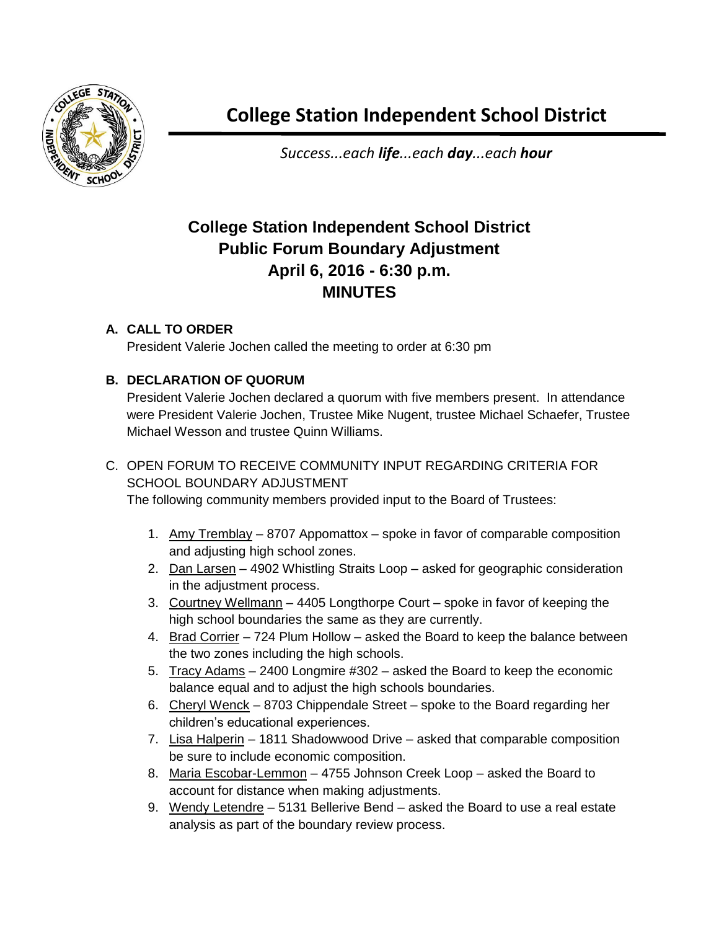

*Success...each life...each day...each hour*

## **College Station Independent School District Public Forum Boundary Adjustment April 6, 2016 - 6:30 p.m. MINUTES**

## **A. CALL TO ORDER**

President Valerie Jochen called the meeting to order at 6:30 pm

## **B. DECLARATION OF QUORUM**

President Valerie Jochen declared a quorum with five members present. In attendance were President Valerie Jochen, Trustee Mike Nugent, trustee Michael Schaefer, Trustee Michael Wesson and trustee Quinn Williams.

## C. OPEN FORUM TO RECEIVE COMMUNITY INPUT REGARDING CRITERIA FOR SCHOOL BOUNDARY ADJUSTMENT

The following community members provided input to the Board of Trustees:

- 1. Amy Tremblay 8707 Appomattox spoke in favor of comparable composition and adjusting high school zones.
- 2. Dan Larsen 4902 Whistling Straits Loop asked for geographic consideration in the adjustment process.
- 3. Courtney Wellmann 4405 Longthorpe Court spoke in favor of keeping the high school boundaries the same as they are currently.
- 4. Brad Corrier 724 Plum Hollow asked the Board to keep the balance between the two zones including the high schools.
- 5. Tracy Adams 2400 Longmire #302 asked the Board to keep the economic balance equal and to adjust the high schools boundaries.
- 6. Cheryl Wenck 8703 Chippendale Street spoke to the Board regarding her children's educational experiences.
- 7. Lisa Halperin 1811 Shadowwood Drive asked that comparable composition be sure to include economic composition.
- 8. Maria Escobar-Lemmon 4755 Johnson Creek Loop asked the Board to account for distance when making adjustments.
- 9. Wendy Letendre 5131 Bellerive Bend asked the Board to use a real estate analysis as part of the boundary review process.